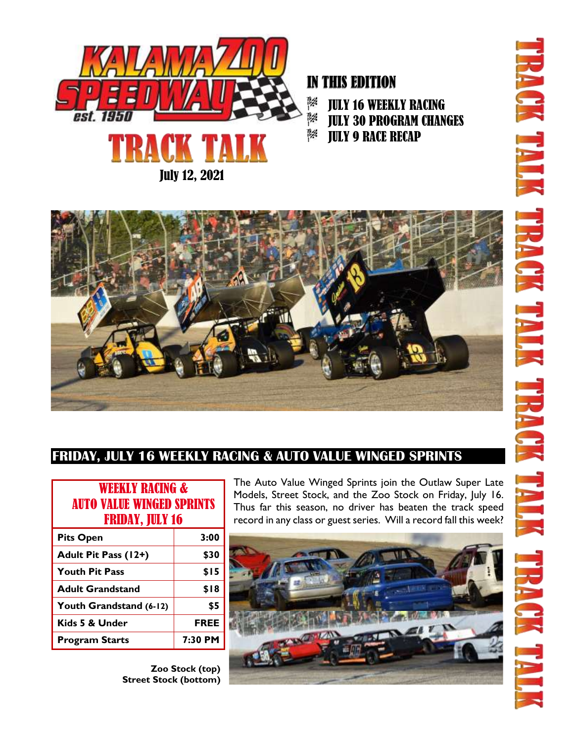

IN THIS EDITION JULY 16 WEEKLY RACING JULY 30 PROGRAM CHANGES JULY 9 RACE RECAP



# **FRIDAY, JULY 16 WEEKLY RACING & AUTO VALUE WINGED SPRINTS**

| <b>WEEKLY RACING &amp;</b><br><b>AUTO VALUE WINGED SPRINTS</b><br><b>FRIDAY, JULY 16</b> |             |
|------------------------------------------------------------------------------------------|-------------|
| <b>Pits Open</b>                                                                         | 3:00        |
| Adult Pit Pass (12+)                                                                     | \$30        |
| <b>Youth Pit Pass</b>                                                                    | \$15        |
| <b>Adult Grandstand</b>                                                                  | \$18        |
| Youth Grandstand (6-12)                                                                  | \$5         |
| Kids 5 & Under                                                                           | <b>FREE</b> |
| <b>Program Starts</b>                                                                    | 7:30 PM     |
|                                                                                          |             |

**Zoo Stock (top) Street Stock (bottom)**

The Auto Value Winged Sprints join the Outlaw Super Late Models, Street Stock, and the Zoo Stock on Friday, July 16. Thus far this season, no driver has beaten the track speed record in any class or guest series. Will a record fall this week?

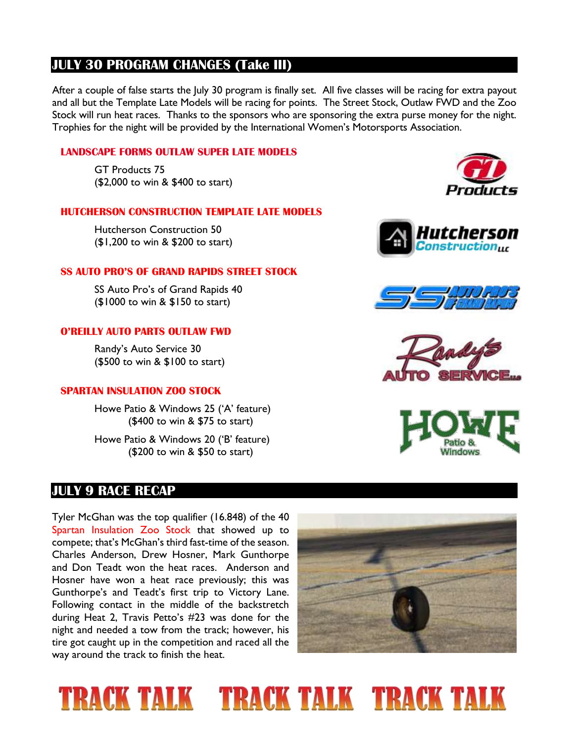## **JULY 30 PROGRAM CHANGES (Take III)**

After a couple of false starts the July 30 program is finally set. All five classes will be racing for extra payout and all but the Template Late Models will be racing for points. The Street Stock, Outlaw FWD and the Zoo Stock will run heat races. Thanks to the sponsors who are sponsoring the extra purse money for the night. Trophies for the night will be provided by the International Women's Motorsports Association.

#### **LANDSCAPE FORMS OUTLAW SUPER LATE MODELS**

GT Products 75 (\$2,000 to win & \$400 to start)

#### **HUTCHERSON CONSTRUCTION TEMPLATE LATE MODELS**

Hutcherson Construction 50 (\$1,200 to win & \$200 to start)

#### **SS AUTO PRO'S OF GRAND RAPIDS STREET STOCK**

SS Auto Pro's of Grand Rapids 40 (\$1000 to win & \$150 to start)

#### **O'REILLY AUTO PARTS OUTLAW FWD**

Randy's Auto Service 30 (\$500 to win & \$100 to start)

#### **SPARTAN INSULATION ZOO STOCK**

Howe Patio & Windows 25 ('A' feature) (\$400 to win & \$75 to start)

Howe Patio & Windows 20 ('B' feature) (\$200 to win & \$50 to start)

### **JULY 9 RACE RECAP**

Tyler McGhan was the top qualifier (16.848) of the 40 Spartan Insulation Zoo Stock that showed up to compete; that's McGhan's third fast-time of the season. Charles Anderson, Drew Hosner, Mark Gunthorpe and Don Teadt won the heat races. Anderson and Hosner have won a heat race previously; this was Gunthorpe's and Teadt's first trip to Victory Lane. Following contact in the middle of the backstretch during Heat 2, Travis Petto's #23 was done for the night and needed a tow from the track; however, his tire got caught up in the competition and raced all the way around the track to finish the heat.



# **TRACK TALK FRACK TALK TRACK TALK**









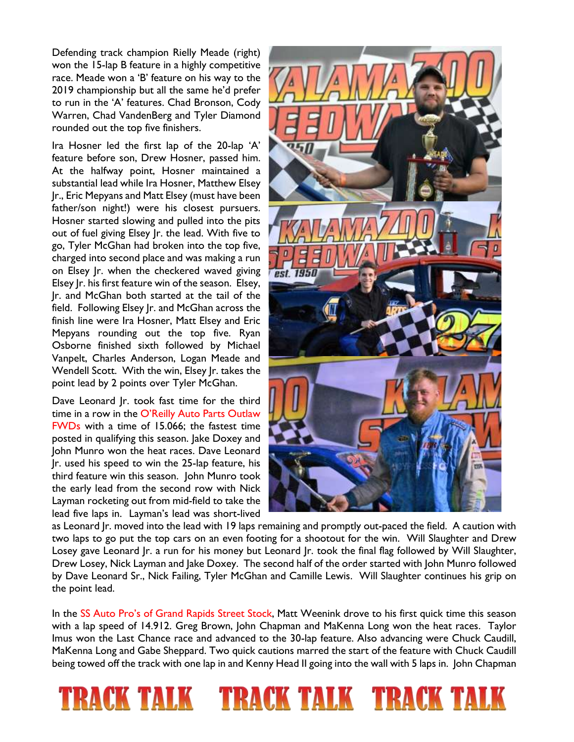Defending track champion Rielly Meade (right) won the 15-lap B feature in a highly competitive race. Meade won a 'B' feature on his way to the 2019 championship but all the same he'd prefer to run in the 'A' features. Chad Bronson, Cody Warren, Chad VandenBerg and Tyler Diamond rounded out the top five finishers.

Ira Hosner led the first lap of the 20-lap 'A' feature before son, Drew Hosner, passed him. At the halfway point, Hosner maintained a substantial lead while Ira Hosner, Matthew Elsey Jr., Eric Mepyans and Matt Elsey (must have been father/son night!) were his closest pursuers. Hosner started slowing and pulled into the pits out of fuel giving Elsey Jr. the lead. With five to go, Tyler McGhan had broken into the top five, charged into second place and was making a run on Elsey Jr. when the checkered waved giving Elsey Jr. his first feature win of the season. Elsey, Jr. and McGhan both started at the tail of the field. Following Elsey Jr. and McGhan across the finish line were Ira Hosner, Matt Elsey and Eric Mepyans rounding out the top five. Ryan Osborne finished sixth followed by Michael Vanpelt, Charles Anderson, Logan Meade and Wendell Scott. With the win, Elsey Jr. takes the point lead by 2 points over Tyler McGhan.

Dave Leonard Jr. took fast time for the third time in a row in the O'Reilly Auto Parts Outlaw FWDs with a time of 15.066; the fastest time posted in qualifying this season. Jake Doxey and John Munro won the heat races. Dave Leonard Jr. used his speed to win the 25-lap feature, his third feature win this season. John Munro took the early lead from the second row with Nick Layman rocketing out from mid-field to take the lead five laps in. Layman's lead was short-lived

I A U



as Leonard Jr. moved into the lead with 19 laps remaining and promptly out-paced the field. A caution with two laps to go put the top cars on an even footing for a shootout for the win. Will Slaughter and Drew Losey gave Leonard Jr. a run for his money but Leonard Jr. took the final flag followed by Will Slaughter, Drew Losey, Nick Layman and Jake Doxey. The second half of the order started with John Munro followed by Dave Leonard Sr., Nick Failing, Tyler McGhan and Camille Lewis. Will Slaughter continues his grip on the point lead.

In the SS Auto Pro's of Grand Rapids Street Stock, Matt Weenink drove to his first quick time this season with a lap speed of 14.912. Greg Brown, John Chapman and MaKenna Long won the heat races. Taylor Imus won the Last Chance race and advanced to the 30-lap feature. Also advancing were Chuck Caudill, MaKenna Long and Gabe Sheppard. Two quick cautions marred the start of the feature with Chuck Caudill being towed off the track with one lap in and Kenny Head II going into the wall with 5 laps in. John Chapman

RACK TALK TRACI